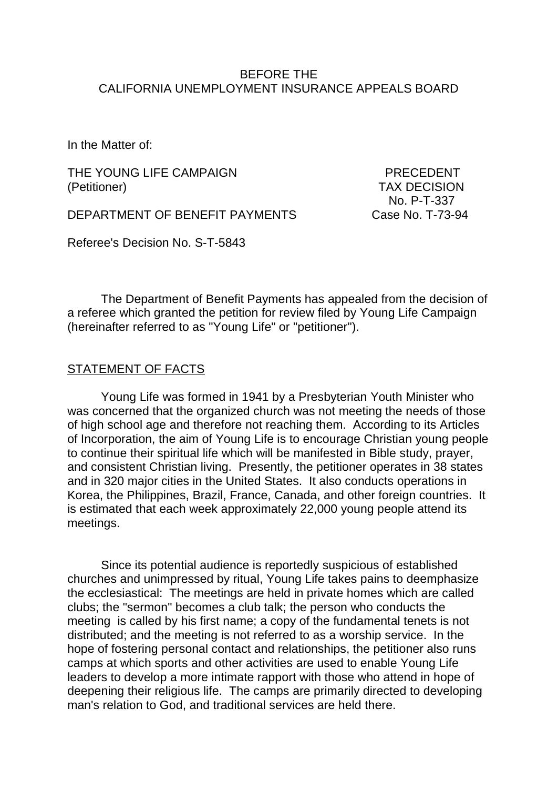#### BEFORE THE CALIFORNIA UNEMPLOYMENT INSURANCE APPEALS BOARD

In the Matter of:

THE YOUNG LIFE CAMPAIGN **EXAMPLE SERVICE SERVICE PRECEDENT** (Petitioner) TAX DECISION

DEPARTMENT OF BENEFIT PAYMENTS Case No. T-73-94

No. P-T-337

Referee's Decision No. S-T-5843

The Department of Benefit Payments has appealed from the decision of a referee which granted the petition for review filed by Young Life Campaign (hereinafter referred to as "Young Life" or "petitioner").

#### STATEMENT OF FACTS

Young Life was formed in 1941 by a Presbyterian Youth Minister who was concerned that the organized church was not meeting the needs of those of high school age and therefore not reaching them. According to its Articles of Incorporation, the aim of Young Life is to encourage Christian young people to continue their spiritual life which will be manifested in Bible study, prayer, and consistent Christian living. Presently, the petitioner operates in 38 states and in 320 major cities in the United States. It also conducts operations in Korea, the Philippines, Brazil, France, Canada, and other foreign countries. It is estimated that each week approximately 22,000 young people attend its meetings.

Since its potential audience is reportedly suspicious of established churches and unimpressed by ritual, Young Life takes pains to deemphasize the ecclesiastical: The meetings are held in private homes which are called clubs; the "sermon" becomes a club talk; the person who conducts the meeting is called by his first name; a copy of the fundamental tenets is not distributed; and the meeting is not referred to as a worship service. In the hope of fostering personal contact and relationships, the petitioner also runs camps at which sports and other activities are used to enable Young Life leaders to develop a more intimate rapport with those who attend in hope of deepening their religious life. The camps are primarily directed to developing man's relation to God, and traditional services are held there.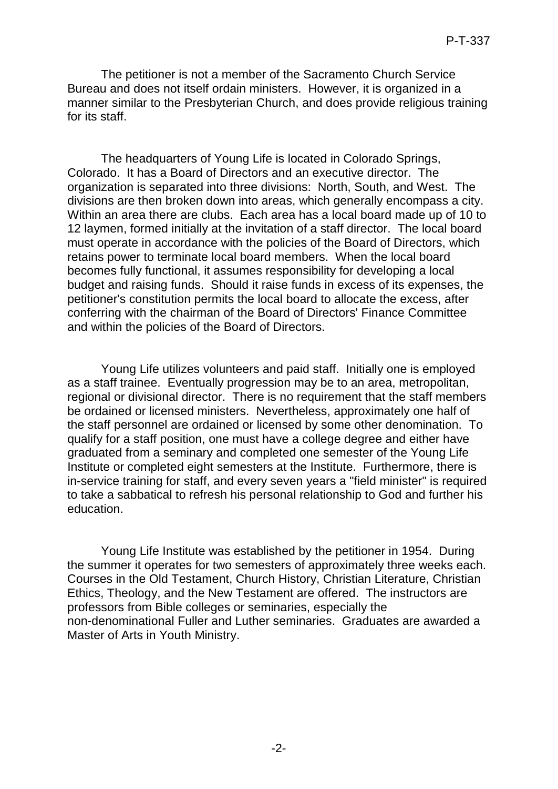The petitioner is not a member of the Sacramento Church Service Bureau and does not itself ordain ministers. However, it is organized in a manner similar to the Presbyterian Church, and does provide religious training for its staff.

The headquarters of Young Life is located in Colorado Springs, Colorado. It has a Board of Directors and an executive director. The organization is separated into three divisions: North, South, and West. The divisions are then broken down into areas, which generally encompass a city. Within an area there are clubs. Each area has a local board made up of 10 to 12 laymen, formed initially at the invitation of a staff director. The local board must operate in accordance with the policies of the Board of Directors, which retains power to terminate local board members. When the local board becomes fully functional, it assumes responsibility for developing a local budget and raising funds. Should it raise funds in excess of its expenses, the petitioner's constitution permits the local board to allocate the excess, after conferring with the chairman of the Board of Directors' Finance Committee and within the policies of the Board of Directors.

Young Life utilizes volunteers and paid staff. Initially one is employed as a staff trainee. Eventually progression may be to an area, metropolitan, regional or divisional director. There is no requirement that the staff members be ordained or licensed ministers. Nevertheless, approximately one half of the staff personnel are ordained or licensed by some other denomination. To qualify for a staff position, one must have a college degree and either have graduated from a seminary and completed one semester of the Young Life Institute or completed eight semesters at the Institute. Furthermore, there is in-service training for staff, and every seven years a "field minister" is required to take a sabbatical to refresh his personal relationship to God and further his education.

Young Life Institute was established by the petitioner in 1954. During the summer it operates for two semesters of approximately three weeks each. Courses in the Old Testament, Church History, Christian Literature, Christian Ethics, Theology, and the New Testament are offered. The instructors are professors from Bible colleges or seminaries, especially the non-denominational Fuller and Luther seminaries. Graduates are awarded a Master of Arts in Youth Ministry.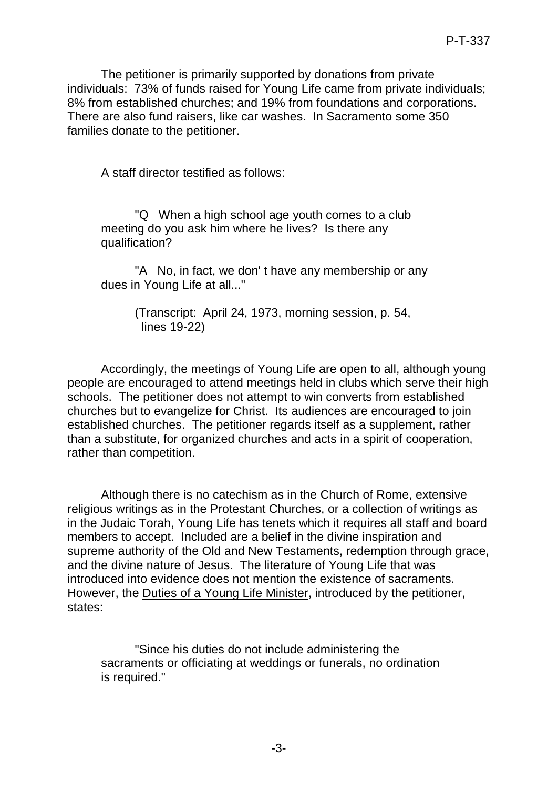The petitioner is primarily supported by donations from private individuals: 73% of funds raised for Young Life came from private individuals; 8% from established churches; and 19% from foundations and corporations. There are also fund raisers, like car washes. In Sacramento some 350 families donate to the petitioner.

A staff director testified as follows:

"Q When a high school age youth comes to a club meeting do you ask him where he lives? Is there any qualification?

"A No, in fact, we don' t have any membership or any dues in Young Life at all..."

> (Transcript: April 24, 1973, morning session, p. 54, lines 19-22)

Accordingly, the meetings of Young Life are open to all, although young people are encouraged to attend meetings held in clubs which serve their high schools. The petitioner does not attempt to win converts from established churches but to evangelize for Christ. Its audiences are encouraged to join established churches. The petitioner regards itself as a supplement, rather than a substitute, for organized churches and acts in a spirit of cooperation, rather than competition.

Although there is no catechism as in the Church of Rome, extensive religious writings as in the Protestant Churches, or a collection of writings as in the Judaic Torah, Young Life has tenets which it requires all staff and board members to accept. Included are a belief in the divine inspiration and supreme authority of the Old and New Testaments, redemption through grace, and the divine nature of Jesus. The literature of Young Life that was introduced into evidence does not mention the existence of sacraments. However, the Duties of a Young Life Minister, introduced by the petitioner, states:

"Since his duties do not include administering the sacraments or officiating at weddings or funerals, no ordination is required."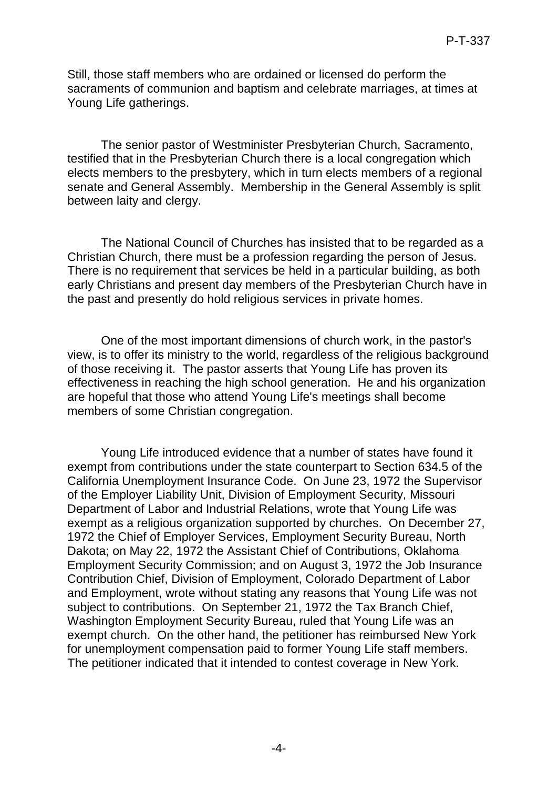Still, those staff members who are ordained or licensed do perform the sacraments of communion and baptism and celebrate marriages, at times at Young Life gatherings.

The senior pastor of Westminister Presbyterian Church, Sacramento, testified that in the Presbyterian Church there is a local congregation which elects members to the presbytery, which in turn elects members of a regional senate and General Assembly. Membership in the General Assembly is split between laity and clergy.

The National Council of Churches has insisted that to be regarded as a Christian Church, there must be a profession regarding the person of Jesus. There is no requirement that services be held in a particular building, as both early Christians and present day members of the Presbyterian Church have in the past and presently do hold religious services in private homes.

One of the most important dimensions of church work, in the pastor's view, is to offer its ministry to the world, regardless of the religious background of those receiving it. The pastor asserts that Young Life has proven its effectiveness in reaching the high school generation. He and his organization are hopeful that those who attend Young Life's meetings shall become members of some Christian congregation.

Young Life introduced evidence that a number of states have found it exempt from contributions under the state counterpart to Section 634.5 of the California Unemployment Insurance Code. On June 23, 1972 the Supervisor of the Employer Liability Unit, Division of Employment Security, Missouri Department of Labor and Industrial Relations, wrote that Young Life was exempt as a religious organization supported by churches. On December 27, 1972 the Chief of Employer Services, Employment Security Bureau, North Dakota; on May 22, 1972 the Assistant Chief of Contributions, Oklahoma Employment Security Commission; and on August 3, 1972 the Job Insurance Contribution Chief, Division of Employment, Colorado Department of Labor and Employment, wrote without stating any reasons that Young Life was not subject to contributions. On September 21, 1972 the Tax Branch Chief, Washington Employment Security Bureau, ruled that Young Life was an exempt church. On the other hand, the petitioner has reimbursed New York for unemployment compensation paid to former Young Life staff members. The petitioner indicated that it intended to contest coverage in New York.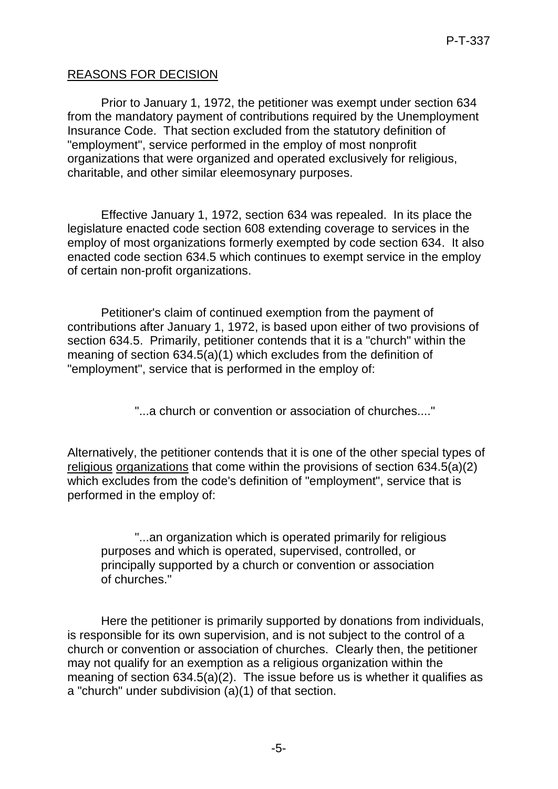### REASONS FOR DECISION

Prior to January 1, 1972, the petitioner was exempt under section 634 from the mandatory payment of contributions required by the Unemployment Insurance Code. That section excluded from the statutory definition of "employment", service performed in the employ of most nonprofit organizations that were organized and operated exclusively for religious, charitable, and other similar eleemosynary purposes.

Effective January 1, 1972, section 634 was repealed. In its place the legislature enacted code section 608 extending coverage to services in the employ of most organizations formerly exempted by code section 634. It also enacted code section 634.5 which continues to exempt service in the employ of certain non-profit organizations.

Petitioner's claim of continued exemption from the payment of contributions after January 1, 1972, is based upon either of two provisions of section 634.5. Primarily, petitioner contends that it is a "church" within the meaning of section 634.5(a)(1) which excludes from the definition of "employment", service that is performed in the employ of:

"...a church or convention or association of churches...."

Alternatively, the petitioner contends that it is one of the other special types of religious organizations that come within the provisions of section 634.5(a)(2) which excludes from the code's definition of "employment", service that is performed in the employ of:

"...an organization which is operated primarily for religious purposes and which is operated, supervised, controlled, or principally supported by a church or convention or association of churches."

Here the petitioner is primarily supported by donations from individuals, is responsible for its own supervision, and is not subject to the control of a church or convention or association of churches. Clearly then, the petitioner may not qualify for an exemption as a religious organization within the meaning of section 634.5(a)(2). The issue before us is whether it qualifies as a "church" under subdivision (a)(1) of that section.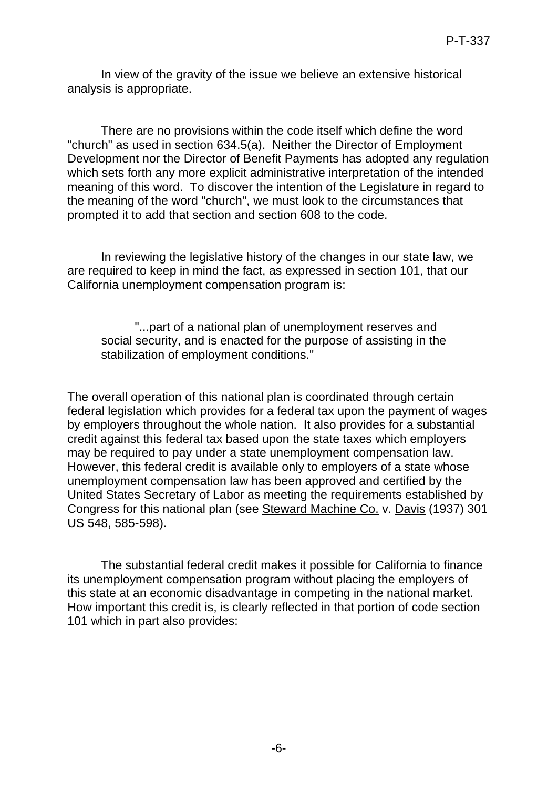In view of the gravity of the issue we believe an extensive historical analysis is appropriate.

There are no provisions within the code itself which define the word "church" as used in section 634.5(a). Neither the Director of Employment Development nor the Director of Benefit Payments has adopted any regulation which sets forth any more explicit administrative interpretation of the intended meaning of this word. To discover the intention of the Legislature in regard to the meaning of the word "church", we must look to the circumstances that prompted it to add that section and section 608 to the code.

In reviewing the legislative history of the changes in our state law, we are required to keep in mind the fact, as expressed in section 101, that our California unemployment compensation program is:

"...part of a national plan of unemployment reserves and social security, and is enacted for the purpose of assisting in the stabilization of employment conditions."

The overall operation of this national plan is coordinated through certain federal legislation which provides for a federal tax upon the payment of wages by employers throughout the whole nation. It also provides for a substantial credit against this federal tax based upon the state taxes which employers may be required to pay under a state unemployment compensation law. However, this federal credit is available only to employers of a state whose unemployment compensation law has been approved and certified by the United States Secretary of Labor as meeting the requirements established by Congress for this national plan (see Steward Machine Co. v. Davis (1937) 301 US 548, 585-598).

The substantial federal credit makes it possible for California to finance its unemployment compensation program without placing the employers of this state at an economic disadvantage in competing in the national market. How important this credit is, is clearly reflected in that portion of code section 101 which in part also provides: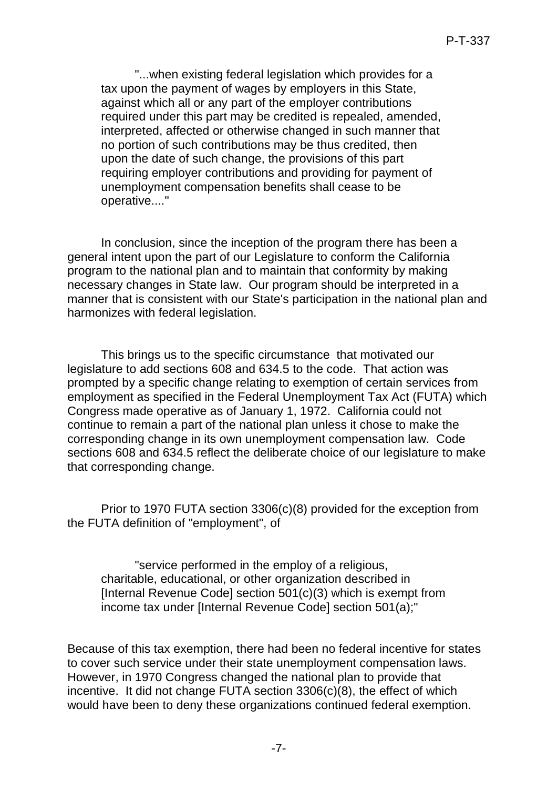"...when existing federal legislation which provides for a tax upon the payment of wages by employers in this State, against which all or any part of the employer contributions required under this part may be credited is repealed, amended, interpreted, affected or otherwise changed in such manner that no portion of such contributions may be thus credited, then upon the date of such change, the provisions of this part requiring employer contributions and providing for payment of unemployment compensation benefits shall cease to be operative...."

In conclusion, since the inception of the program there has been a general intent upon the part of our Legislature to conform the California program to the national plan and to maintain that conformity by making necessary changes in State law. Our program should be interpreted in a manner that is consistent with our State's participation in the national plan and harmonizes with federal legislation.

This brings us to the specific circumstance that motivated our legislature to add sections 608 and 634.5 to the code. That action was prompted by a specific change relating to exemption of certain services from employment as specified in the Federal Unemployment Tax Act (FUTA) which Congress made operative as of January 1, 1972. California could not continue to remain a part of the national plan unless it chose to make the corresponding change in its own unemployment compensation law. Code sections 608 and 634.5 reflect the deliberate choice of our legislature to make that corresponding change.

Prior to 1970 FUTA section 3306(c)(8) provided for the exception from the FUTA definition of "employment", of

"service performed in the employ of a religious, charitable, educational, or other organization described in [Internal Revenue Code] section 501(c)(3) which is exempt from income tax under [Internal Revenue Code] section 501(a);"

Because of this tax exemption, there had been no federal incentive for states to cover such service under their state unemployment compensation laws. However, in 1970 Congress changed the national plan to provide that incentive. It did not change FUTA section 3306(c)(8), the effect of which would have been to deny these organizations continued federal exemption.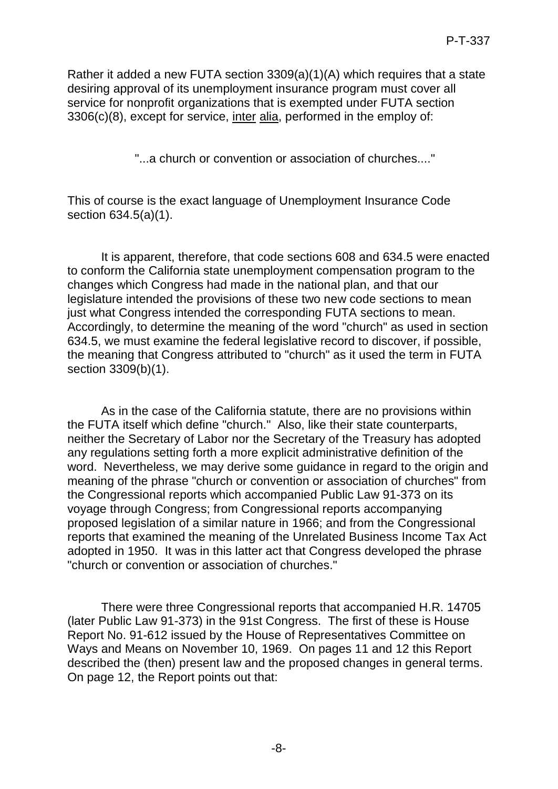Rather it added a new FUTA section 3309(a)(1)(A) which requires that a state desiring approval of its unemployment insurance program must cover all service for nonprofit organizations that is exempted under FUTA section 3306(c)(8), except for service, inter alia, performed in the employ of:

"...a church or convention or association of churches...."

This of course is the exact language of Unemployment Insurance Code section 634.5(a)(1).

It is apparent, therefore, that code sections 608 and 634.5 were enacted to conform the California state unemployment compensation program to the changes which Congress had made in the national plan, and that our legislature intended the provisions of these two new code sections to mean just what Congress intended the corresponding FUTA sections to mean. Accordingly, to determine the meaning of the word "church" as used in section 634.5, we must examine the federal legislative record to discover, if possible, the meaning that Congress attributed to "church" as it used the term in FUTA section 3309(b)(1).

As in the case of the California statute, there are no provisions within the FUTA itself which define "church." Also, like their state counterparts, neither the Secretary of Labor nor the Secretary of the Treasury has adopted any regulations setting forth a more explicit administrative definition of the word. Nevertheless, we may derive some guidance in regard to the origin and meaning of the phrase "church or convention or association of churches" from the Congressional reports which accompanied Public Law 91-373 on its voyage through Congress; from Congressional reports accompanying proposed legislation of a similar nature in 1966; and from the Congressional reports that examined the meaning of the Unrelated Business Income Tax Act adopted in 1950. It was in this latter act that Congress developed the phrase "church or convention or association of churches."

There were three Congressional reports that accompanied H.R. 14705 (later Public Law 91-373) in the 91st Congress. The first of these is House Report No. 91-612 issued by the House of Representatives Committee on Ways and Means on November 10, 1969. On pages 11 and 12 this Report described the (then) present law and the proposed changes in general terms. On page 12, the Report points out that: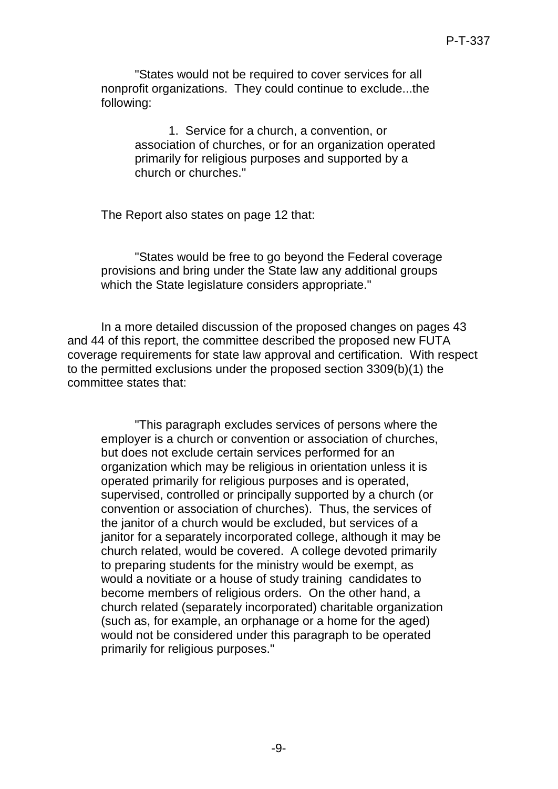"States would not be required to cover services for all nonprofit organizations. They could continue to exclude...the following:

1. Service for a church, a convention, or association of churches, or for an organization operated primarily for religious purposes and supported by a church or churches."

The Report also states on page 12 that:

"States would be free to go beyond the Federal coverage provisions and bring under the State law any additional groups which the State legislature considers appropriate."

In a more detailed discussion of the proposed changes on pages 43 and 44 of this report, the committee described the proposed new FUTA coverage requirements for state law approval and certification. With respect to the permitted exclusions under the proposed section 3309(b)(1) the committee states that:

"This paragraph excludes services of persons where the employer is a church or convention or association of churches, but does not exclude certain services performed for an organization which may be religious in orientation unless it is operated primarily for religious purposes and is operated, supervised, controlled or principally supported by a church (or convention or association of churches). Thus, the services of the janitor of a church would be excluded, but services of a janitor for a separately incorporated college, although it may be church related, would be covered. A college devoted primarily to preparing students for the ministry would be exempt, as would a novitiate or a house of study training candidates to become members of religious orders. On the other hand, a church related (separately incorporated) charitable organization (such as, for example, an orphanage or a home for the aged) would not be considered under this paragraph to be operated primarily for religious purposes."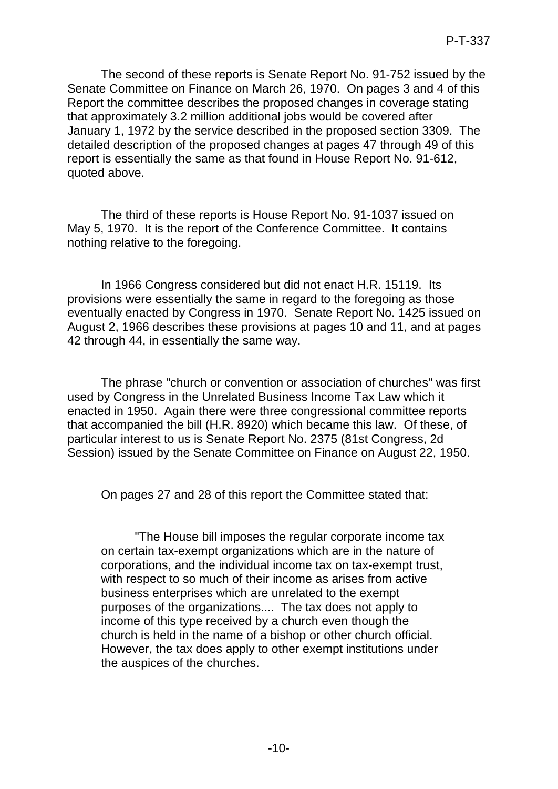The second of these reports is Senate Report No. 91-752 issued by the Senate Committee on Finance on March 26, 1970. On pages 3 and 4 of this Report the committee describes the proposed changes in coverage stating that approximately 3.2 million additional jobs would be covered after January 1, 1972 by the service described in the proposed section 3309. The detailed description of the proposed changes at pages 47 through 49 of this report is essentially the same as that found in House Report No. 91-612, quoted above.

The third of these reports is House Report No. 91-1037 issued on May 5, 1970. It is the report of the Conference Committee. It contains nothing relative to the foregoing.

In 1966 Congress considered but did not enact H.R. 15119. Its provisions were essentially the same in regard to the foregoing as those eventually enacted by Congress in 1970. Senate Report No. 1425 issued on August 2, 1966 describes these provisions at pages 10 and 11, and at pages 42 through 44, in essentially the same way.

The phrase "church or convention or association of churches" was first used by Congress in the Unrelated Business Income Tax Law which it enacted in 1950. Again there were three congressional committee reports that accompanied the bill (H.R. 8920) which became this law. Of these, of particular interest to us is Senate Report No. 2375 (81st Congress, 2d Session) issued by the Senate Committee on Finance on August 22, 1950.

On pages 27 and 28 of this report the Committee stated that:

"The House bill imposes the regular corporate income tax on certain tax-exempt organizations which are in the nature of corporations, and the individual income tax on tax-exempt trust, with respect to so much of their income as arises from active business enterprises which are unrelated to the exempt purposes of the organizations.... The tax does not apply to income of this type received by a church even though the church is held in the name of a bishop or other church official. However, the tax does apply to other exempt institutions under the auspices of the churches.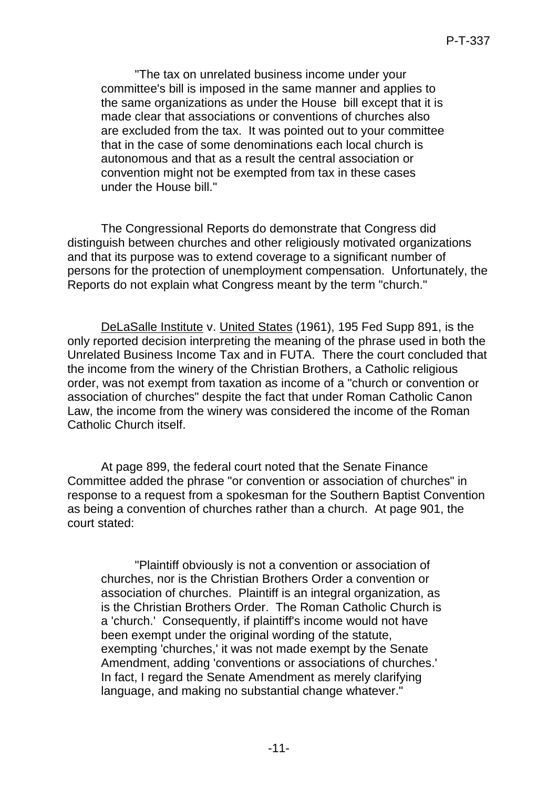"The tax on unrelated business income under your committee's bill is imposed in the same manner and applies to the same organizations as under the House bill except that it is made clear that associations or conventions of churches also are excluded from the tax. It was pointed out to your committee that in the case of some denominations each local church is autonomous and that as a result the central association or convention might not be exempted from tax in these cases under the House bill."

The Congressional Reports do demonstrate that Congress did distinguish between churches and other religiously motivated organizations and that its purpose was to extend coverage to a significant number of persons for the protection of unemployment compensation. Unfortunately, the Reports do not explain what Congress meant by the term "church."

DeLaSalle Institute v. United States (1961), 195 Fed Supp 891, is the only reported decision interpreting the meaning of the phrase used in both the Unrelated Business Income Tax and in FUTA. There the court concluded that the income from the winery of the Christian Brothers, a Catholic religious order, was not exempt from taxation as income of a "church or convention or association of churches" despite the fact that under Roman Catholic Canon Law, the income from the winery was considered the income of the Roman Catholic Church itself.

At page 899, the federal court noted that the Senate Finance Committee added the phrase "or convention or association of churches" in response to a request from a spokesman for the Southern Baptist Convention as being a convention of churches rather than a church. At page 901, the court stated:

"Plaintiff obviously is not a convention or association of churches, nor is the Christian Brothers Order a convention or association of churches. Plaintiff is an integral organization, as is the Christian Brothers Order. The Roman Catholic Church is a 'church.' Consequently, if plaintiff's income would not have been exempt under the original wording of the statute, exempting 'churches,' it was not made exempt by the Senate Amendment, adding 'conventions or associations of churches.' In fact, I regard the Senate Amendment as merely clarifying language, and making no substantial change whatever."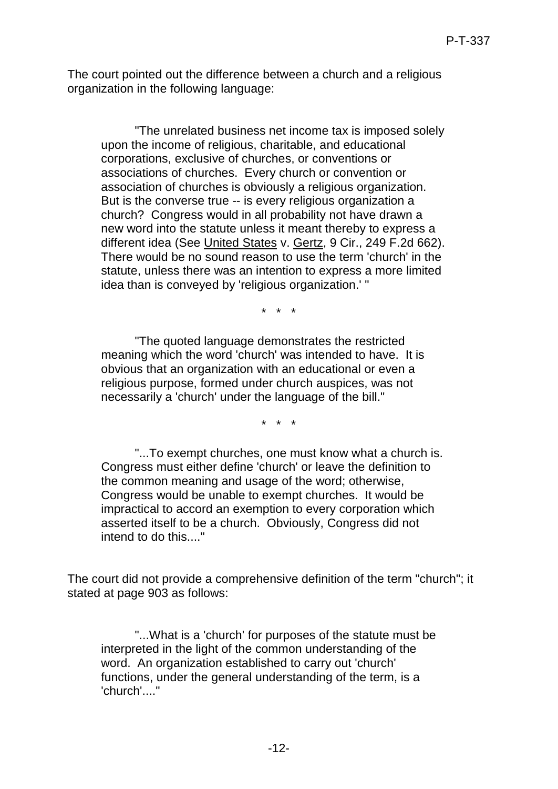The court pointed out the difference between a church and a religious organization in the following language:

"The unrelated business net income tax is imposed solely upon the income of religious, charitable, and educational corporations, exclusive of churches, or conventions or associations of churches. Every church or convention or association of churches is obviously a religious organization. But is the converse true -- is every religious organization a church? Congress would in all probability not have drawn a new word into the statute unless it meant thereby to express a different idea (See United States v. Gertz, 9 Cir., 249 F.2d 662). There would be no sound reason to use the term 'church' in the statute, unless there was an intention to express a more limited idea than is conveyed by 'religious organization.' "

\* \* \*

"The quoted language demonstrates the restricted meaning which the word 'church' was intended to have. It is obvious that an organization with an educational or even a religious purpose, formed under church auspices, was not necessarily a 'church' under the language of the bill."

\* \* \*

"...To exempt churches, one must know what a church is. Congress must either define 'church' or leave the definition to the common meaning and usage of the word; otherwise, Congress would be unable to exempt churches. It would be impractical to accord an exemption to every corporation which asserted itself to be a church. Obviously, Congress did not intend to do this...."

The court did not provide a comprehensive definition of the term "church"; it stated at page 903 as follows:

"...What is a 'church' for purposes of the statute must be interpreted in the light of the common understanding of the word. An organization established to carry out 'church' functions, under the general understanding of the term, is a 'church'...."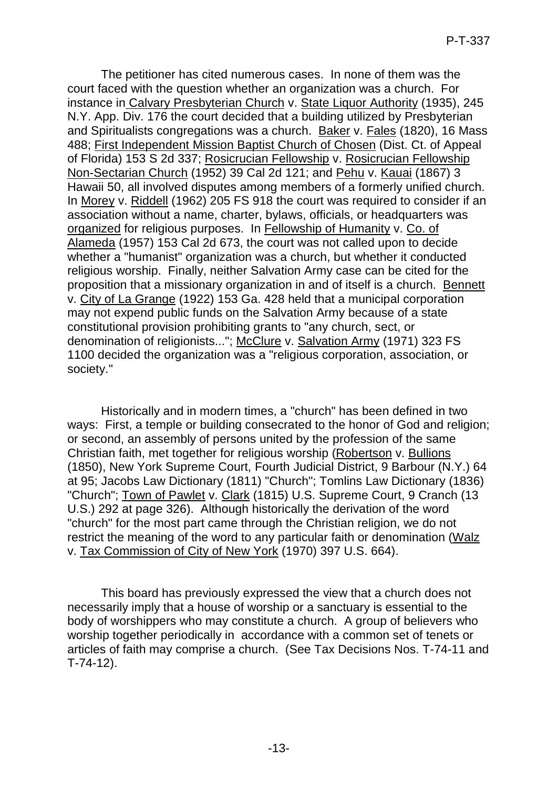The petitioner has cited numerous cases. In none of them was the court faced with the question whether an organization was a church. For instance in Calvary Presbyterian Church v. State Liquor Authority (1935), 245 N.Y. App. Div. 176 the court decided that a building utilized by Presbyterian and Spiritualists congregations was a church. Baker v. Fales (1820), 16 Mass 488; First Independent Mission Baptist Church of Chosen (Dist. Ct. of Appeal of Florida) 153 S 2d 337; Rosicrucian Fellowship v. Rosicrucian Fellowship Non-Sectarian Church (1952) 39 Cal 2d 121; and Pehu v. Kauai (1867) 3 Hawaii 50, all involved disputes among members of a formerly unified church. In Morey v. Riddell (1962) 205 FS 918 the court was required to consider if an association without a name, charter, bylaws, officials, or headquarters was organized for religious purposes. In Fellowship of Humanity v. Co. of Alameda (1957) 153 Cal 2d 673, the court was not called upon to decide whether a "humanist" organization was a church, but whether it conducted religious worship. Finally, neither Salvation Army case can be cited for the proposition that a missionary organization in and of itself is a church. Bennett v. City of La Grange (1922) 153 Ga. 428 held that a municipal corporation may not expend public funds on the Salvation Army because of a state constitutional provision prohibiting grants to "any church, sect, or denomination of religionists..."; McClure v. Salvation Army (1971) 323 FS 1100 decided the organization was a "religious corporation, association, or society."

Historically and in modern times, a "church" has been defined in two ways: First, a temple or building consecrated to the honor of God and religion; or second, an assembly of persons united by the profession of the same Christian faith, met together for religious worship (Robertson v. Bullions (1850), New York Supreme Court, Fourth Judicial District, 9 Barbour (N.Y.) 64 at 95; Jacobs Law Dictionary (1811) "Church"; Tomlins Law Dictionary (1836) "Church"; Town of Pawlet v. Clark (1815) U.S. Supreme Court, 9 Cranch (13 U.S.) 292 at page 326). Although historically the derivation of the word "church" for the most part came through the Christian religion, we do not restrict the meaning of the word to any particular faith or denomination (Walz v. Tax Commission of City of New York (1970) 397 U.S. 664).

This board has previously expressed the view that a church does not necessarily imply that a house of worship or a sanctuary is essential to the body of worshippers who may constitute a church. A group of believers who worship together periodically in accordance with a common set of tenets or articles of faith may comprise a church. (See Tax Decisions Nos. T-74-11 and T-74-12).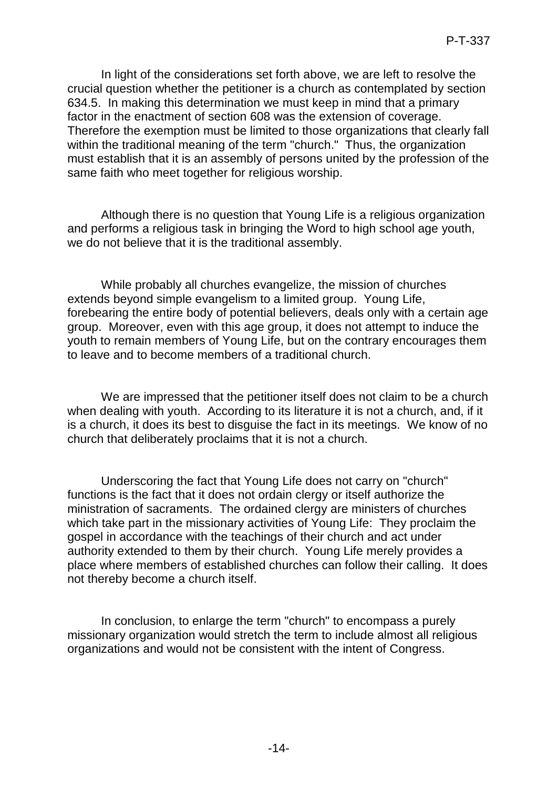In light of the considerations set forth above, we are left to resolve the crucial question whether the petitioner is a church as contemplated by section 634.5. In making this determination we must keep in mind that a primary factor in the enactment of section 608 was the extension of coverage. Therefore the exemption must be limited to those organizations that clearly fall within the traditional meaning of the term "church." Thus, the organization must establish that it is an assembly of persons united by the profession of the same faith who meet together for religious worship.

Although there is no question that Young Life is a religious organization and performs a religious task in bringing the Word to high school age youth, we do not believe that it is the traditional assembly.

While probably all churches evangelize, the mission of churches extends beyond simple evangelism to a limited group. Young Life, forebearing the entire body of potential believers, deals only with a certain age group. Moreover, even with this age group, it does not attempt to induce the youth to remain members of Young Life, but on the contrary encourages them to leave and to become members of a traditional church.

We are impressed that the petitioner itself does not claim to be a church when dealing with youth. According to its literature it is not a church, and, if it is a church, it does its best to disguise the fact in its meetings. We know of no church that deliberately proclaims that it is not a church.

Underscoring the fact that Young Life does not carry on "church" functions is the fact that it does not ordain clergy or itself authorize the ministration of sacraments. The ordained clergy are ministers of churches which take part in the missionary activities of Young Life: They proclaim the gospel in accordance with the teachings of their church and act under authority extended to them by their church. Young Life merely provides a place where members of established churches can follow their calling. It does not thereby become a church itself.

In conclusion, to enlarge the term "church" to encompass a purely missionary organization would stretch the term to include almost all religious organizations and would not be consistent with the intent of Congress.